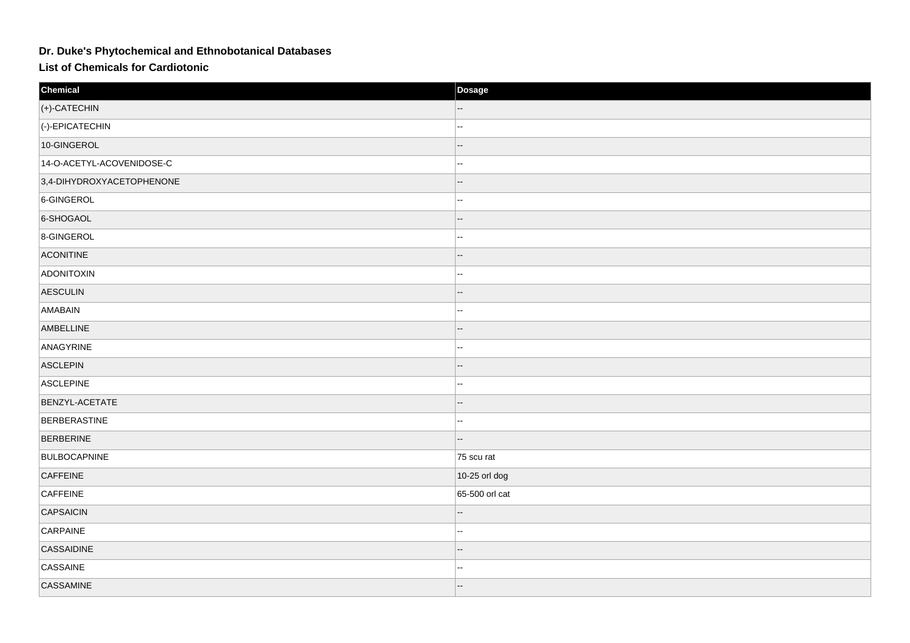## Dr. Duke's Phytochemical and Ethnobotanical Databases

**List of Chemicals for Cardiotonic** 

| Chemical                  | Dosage         |
|---------------------------|----------------|
| (+)-CATECHIN              |                |
| (-)-EPICATECHIN           | ц,             |
| 10-GINGEROL               | --             |
| 14-O-ACETYL-ACOVENIDOSE-C | ц,             |
| 3,4-DIHYDROXYACETOPHENONE | --             |
| 6-GINGEROL                | J.             |
| 6-SHOGAOL                 |                |
| 8-GINGEROL                | ш.             |
| <b>ACONITINE</b>          |                |
| ADONITOXIN                | ц,             |
| <b>AESCULIN</b>           | --             |
| AMABAIN                   | ц,             |
| AMBELLINE                 |                |
| ANAGYRINE                 | ш,             |
| <b>ASCLEPIN</b>           |                |
| ASCLEPINE                 | ц,             |
| BENZYL-ACETATE            | --             |
| BERBERASTINE              | ц,             |
| <b>BERBERINE</b>          |                |
| <b>BULBOCAPNINE</b>       | 75 scu rat     |
| <b>CAFFEINE</b>           | 10-25 orl dog  |
| CAFFEINE                  | 65-500 orl cat |
| <b>CAPSAICIN</b>          |                |
| CARPAINE                  | ц,             |
| CASSAIDINE                |                |
| CASSAINE                  |                |
| CASSAMINE                 | -−             |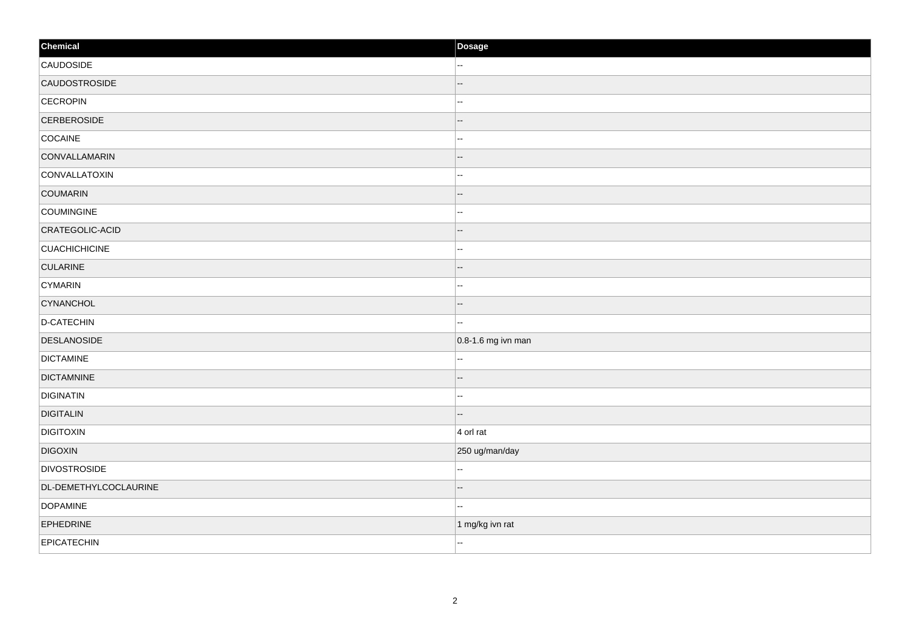| Chemical              | Dosage                 |
|-----------------------|------------------------|
| CAUDOSIDE             | н.                     |
| CAUDOSTROSIDE         |                        |
| <b>CECROPIN</b>       | --                     |
| <b>CERBEROSIDE</b>    | --                     |
| COCAINE               | --                     |
| CONVALLAMARIN         | --                     |
| CONVALLATOXIN         | −−                     |
| COUMARIN              | --                     |
| <b>COUMINGINE</b>     | --                     |
| CRATEGOLIC-ACID       | --                     |
| <b>CUACHICHICINE</b>  | ۵.                     |
| <b>CULARINE</b>       | --                     |
| <b>CYMARIN</b>        | --                     |
| CYNANCHOL             |                        |
| D-CATECHIN            | н.                     |
| <b>DESLANOSIDE</b>    | $0.8 - 1.6$ mg ivn man |
| <b>DICTAMINE</b>      | --                     |
| <b>DICTAMNINE</b>     | ۵.                     |
| <b>DIGINATIN</b>      | --                     |
| <b>DIGITALIN</b>      | $-$                    |
| <b>DIGITOXIN</b>      | $4$ orl rat            |
| <b>DIGOXIN</b>        | 250 ug/man/day         |
| <b>DIVOSTROSIDE</b>   | Щ,                     |
| DL-DEMETHYLCOCLAURINE |                        |
| <b>DOPAMINE</b>       |                        |
| EPHEDRINE             | 1 mg/kg ivn rat        |
| <b>EPICATECHIN</b>    | $\sim$                 |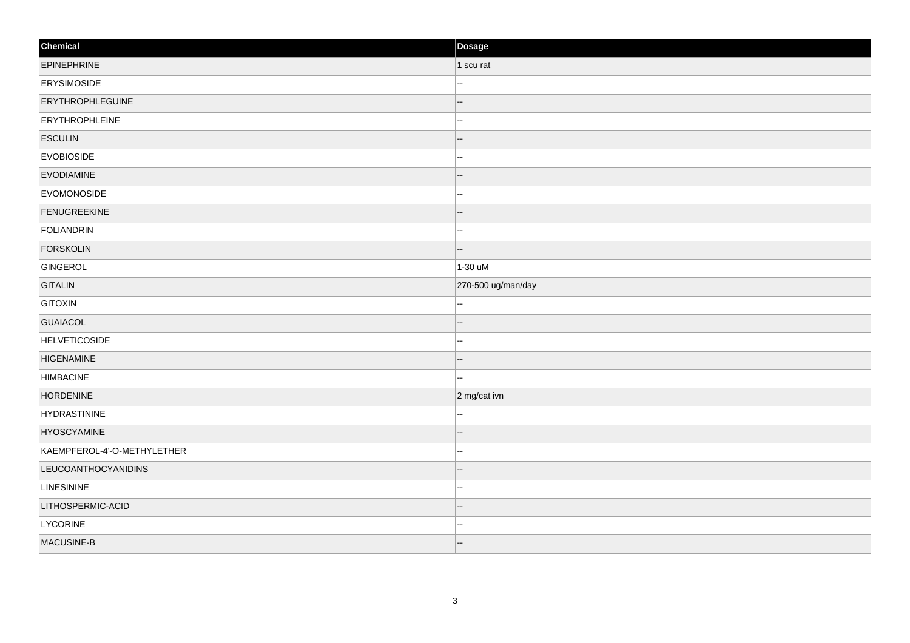| Chemical                    | Dosage                   |
|-----------------------------|--------------------------|
| <b>EPINEPHRINE</b>          | 1 scu rat                |
| <b>ERYSIMOSIDE</b>          |                          |
| <b>ERYTHROPHLEGUINE</b>     |                          |
| <b>ERYTHROPHLEINE</b>       | --                       |
| <b>ESCULIN</b>              |                          |
| <b>EVOBIOSIDE</b>           | н.                       |
| <b>EVODIAMINE</b>           | н.                       |
| EVOMONOSIDE                 | ш.                       |
| <b>FENUGREEKINE</b>         | --                       |
| FOLIANDRIN                  | н.                       |
| <b>FORSKOLIN</b>            | --                       |
| GINGEROL                    | 1-30 uM                  |
| <b>GITALIN</b>              | 270-500 ug/man/day       |
| <b>GITOXIN</b>              |                          |
| <b>GUAIACOL</b>             |                          |
| <b>HELVETICOSIDE</b>        | ш,                       |
| <b>HIGENAMINE</b>           | $\overline{\phantom{a}}$ |
| <b>HIMBACINE</b>            | ш,                       |
| <b>HORDENINE</b>            | 2 mg/cat ivn             |
| HYDRASTININE                | ä.                       |
| <b>HYOSCYAMINE</b>          |                          |
| KAEMPFEROL-4'-O-METHYLETHER | н.                       |
| <b>LEUCOANTHOCYANIDINS</b>  | --                       |
| <b>LINESININE</b>           | ц,                       |
| LITHOSPERMIC-ACID           |                          |
| <b>LYCORINE</b>             | ш.                       |
| MACUSINE-B                  | $-$                      |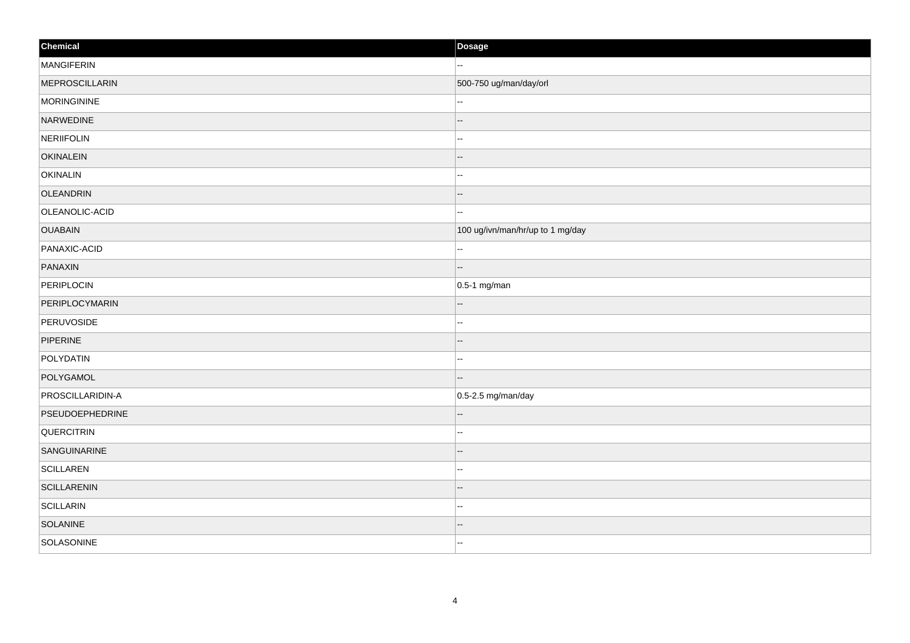| Chemical           | Dosage                           |
|--------------------|----------------------------------|
| MANGIFERIN         | $\mathbf{u}$                     |
| MEPROSCILLARIN     | 500-750 ug/man/day/orl           |
| MORINGININE        |                                  |
| NARWEDINE          | $\overline{a}$                   |
| NERIIFOLIN         | --                               |
| <b>OKINALEIN</b>   | --                               |
| OKINALIN           | ₩.                               |
| OLEANDRIN          |                                  |
| OLEANOLIC-ACID     | --                               |
| <b>OUABAIN</b>     | 100 ug/ivn/man/hr/up to 1 mg/day |
| PANAXIC-ACID       |                                  |
| PANAXIN            | $\overline{\phantom{a}}$         |
| PERIPLOCIN         | $0.5-1$ mg/man                   |
| PERIPLOCYMARIN     |                                  |
| PERUVOSIDE         | --                               |
| PIPERINE           | --                               |
| POLYDATIN          | --                               |
| POLYGAMOL          | --                               |
| PROSCILLARIDIN-A   | $ 0.5$ -2.5 mg/man/day           |
| PSEUDOEPHEDRINE    |                                  |
| <b>QUERCITRIN</b>  | --                               |
| SANGUINARINE       | --                               |
| <b>SCILLAREN</b>   | --                               |
| <b>SCILLARENIN</b> | --                               |
| <b>SCILLARIN</b>   | $-$                              |
| SOLANINE           |                                  |
| SOLASONINE         | н.                               |